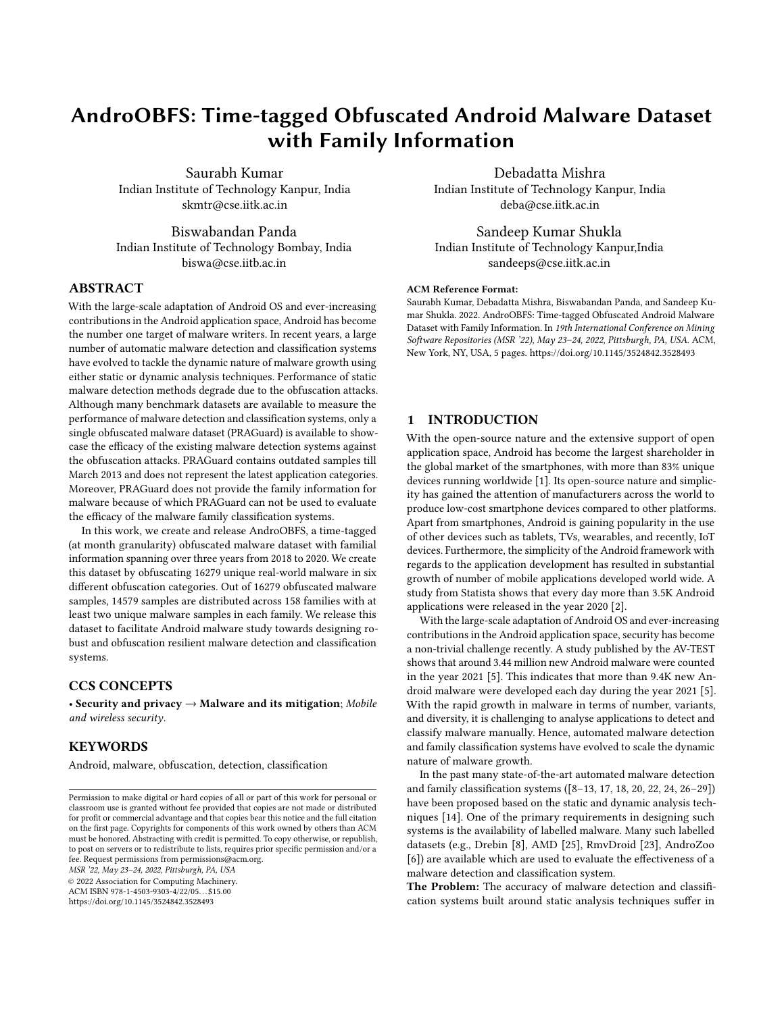# AndroOBFS: Time-tagged Obfuscated Android Malware Dataset with Family Information

Saurabh Kumar Indian Institute of Technology Kanpur, India skmtr@cse.iitk.ac.in

Biswabandan Panda Indian Institute of Technology Bombay, India biswa@cse.iitb.ac.in

# ABSTRACT

With the large-scale adaptation of Android OS and ever-increasing contributions in the Android application space, Android has become the number one target of malware writers. In recent years, a large number of automatic malware detection and classification systems have evolved to tackle the dynamic nature of malware growth using either static or dynamic analysis techniques. Performance of static malware detection methods degrade due to the obfuscation attacks. Although many benchmark datasets are available to measure the performance of malware detection and classification systems, only a single obfuscated malware dataset (PRAGuard) is available to showcase the efficacy of the existing malware detection systems against the obfuscation attacks. PRAGuard contains outdated samples till March 2013 and does not represent the latest application categories. Moreover, PRAGuard does not provide the family information for malware because of which PRAGuard can not be used to evaluate the efficacy of the malware family classification systems.

In this work, we create and release AndroOBFS, a time-tagged (at month granularity) obfuscated malware dataset with familial information spanning over three years from 2018 to 2020. We create this dataset by obfuscating 16279 unique real-world malware in six different obfuscation categories. Out of 16279 obfuscated malware samples, 14579 samples are distributed across 158 families with at least two unique malware samples in each family. We release this dataset to facilitate Android malware study towards designing robust and obfuscation resilient malware detection and classification systems.

# CCS CONCEPTS

• Security and privacy  $\rightarrow$  Malware and its mitigation; Mobile and wireless security.

# **KEYWORDS**

Android, malware, obfuscation, detection, classification

MSR '22, May 23–24, 2022, Pittsburgh, PA, USA

© 2022 Association for Computing Machinery.

ACM ISBN 978-1-4503-9303-4/22/05. . . \$15.00 <https://doi.org/10.1145/3524842.3528493>

Debadatta Mishra Indian Institute of Technology Kanpur, India

deba@cse.iitk.ac.in

Sandeep Kumar Shukla Indian Institute of Technology Kanpur,India sandeeps@cse.iitk.ac.in

#### ACM Reference Format:

Saurabh Kumar, Debadatta Mishra, Biswabandan Panda, and Sandeep Kumar Shukla. 2022. AndroOBFS: Time-tagged Obfuscated Android Malware Dataset with Family Information. In 19th International Conference on Mining Software Repositories (MSR '22), May 23–24, 2022, Pittsburgh, PA, USA. ACM, New York, NY, USA, [5](#page-4-0) pages.<https://doi.org/10.1145/3524842.3528493>

# 1 INTRODUCTION

With the open-source nature and the extensive support of open application space, Android has become the largest shareholder in the global market of the smartphones, with more than 83% unique devices running worldwide [\[1\]](#page-4-1). Its open-source nature and simplicity has gained the attention of manufacturers across the world to produce low-cost smartphone devices compared to other platforms. Apart from smartphones, Android is gaining popularity in the use of other devices such as tablets, TVs, wearables, and recently, IoT devices. Furthermore, the simplicity of the Android framework with regards to the application development has resulted in substantial growth of number of mobile applications developed world wide. A study from Statista shows that every day more than 3.5K Android applications were released in the year 2020 [\[2\]](#page-4-2).

With the large-scale adaptation of Android OS and ever-increasing contributions in the Android application space, security has become a non-trivial challenge recently. A study published by the AV-TEST shows that around 3.44 million new Android malware were counted in the year 2021 [\[5\]](#page-4-3). This indicates that more than 9.4K new Android malware were developed each day during the year 2021 [\[5\]](#page-4-3). With the rapid growth in malware in terms of number, variants, and diversity, it is challenging to analyse applications to detect and classify malware manually. Hence, automated malware detection and family classification systems have evolved to scale the dynamic nature of malware growth.

In the past many state-of-the-art automated malware detection and family classification systems ([\[8–](#page-4-4)[13,](#page-4-5) [17,](#page-4-6) [18,](#page-4-7) [20,](#page-4-8) [22,](#page-4-9) [24,](#page-4-10) [26–](#page-4-11)[29\]](#page-4-12)) have been proposed based on the static and dynamic analysis techniques [\[14\]](#page-4-13). One of the primary requirements in designing such systems is the availability of labelled malware. Many such labelled datasets (e.g., Drebin [\[8\]](#page-4-4), AMD [\[25\]](#page-4-14), RmvDroid [\[23\]](#page-4-15), AndroZoo [\[6\]](#page-4-16)) are available which are used to evaluate the effectiveness of a malware detection and classification system.

The Problem: The accuracy of malware detection and classification systems built around static analysis techniques suffer in

Permission to make digital or hard copies of all or part of this work for personal or classroom use is granted without fee provided that copies are not made or distributed for profit or commercial advantage and that copies bear this notice and the full citation on the first page. Copyrights for components of this work owned by others than ACM must be honored. Abstracting with credit is permitted. To copy otherwise, or republish, to post on servers or to redistribute to lists, requires prior specific permission and/or a fee. Request permissions from permissions@acm.org.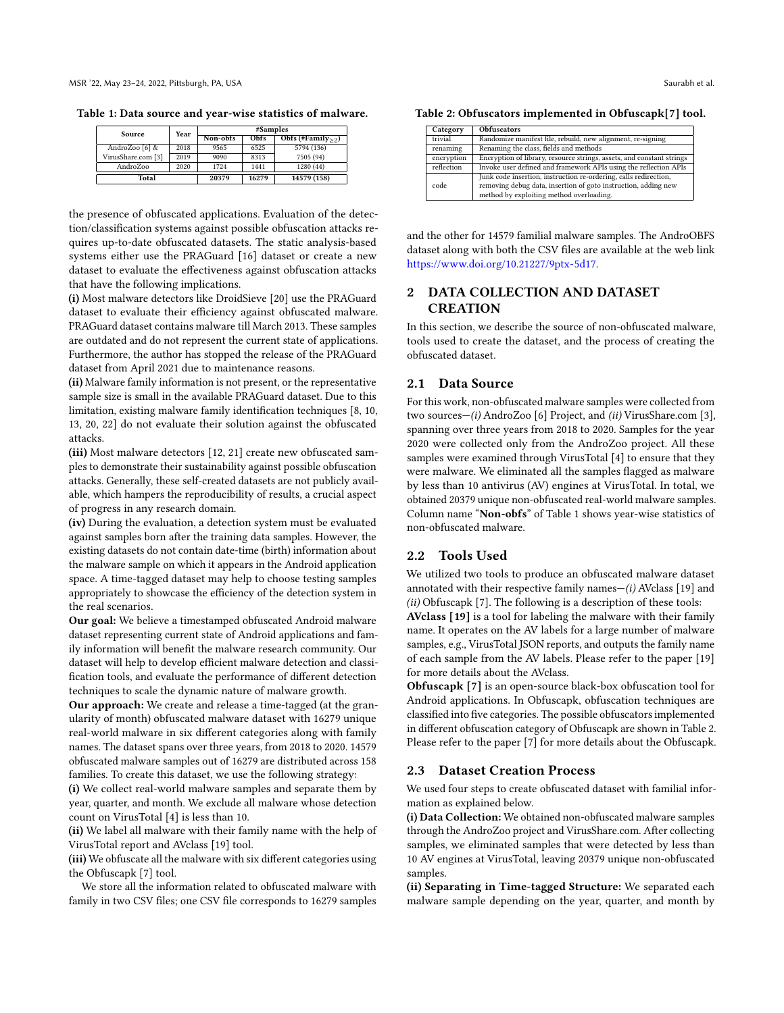<span id="page-1-0"></span>Table 1: Data source and year-wise statistics of malware.

| Source             | Year | #Samples |       |                  |
|--------------------|------|----------|-------|------------------|
|                    |      | Non-obfs | Obfs  | Obfs (#Family>2) |
| AndroZoo [6] &     | 2018 | 9565     | 6525  | 5794 (136)       |
| VirusShare.com [3] | 2019 | 9090     | 8313  | 7505 (94)        |
| AndroZoo           | 2020 | 1724     | 1441  | 1280(44)         |
| Total              |      | 20379    | 16279 | 14579 (158)      |

the presence of obfuscated applications. Evaluation of the detection/classification systems against possible obfuscation attacks requires up-to-date obfuscated datasets. The static analysis-based systems either use the PRAGuard [\[16\]](#page-4-18) dataset or create a new dataset to evaluate the effectiveness against obfuscation attacks that have the following implications.

(i) Most malware detectors like DroidSieve [\[20\]](#page-4-8) use the PRAGuard dataset to evaluate their efficiency against obfuscated malware. PRAGuard dataset contains malware till March 2013. These samples are outdated and do not represent the current state of applications. Furthermore, the author has stopped the release of the PRAGuard dataset from April 2021 due to maintenance reasons.

(ii) Malware family information is not present, or the representative sample size is small in the available PRAGuard dataset. Due to this limitation, existing malware family identification techniques [\[8,](#page-4-4) [10,](#page-4-19) [13,](#page-4-5) [20,](#page-4-8) [22\]](#page-4-9) do not evaluate their solution against the obfuscated attacks.

(iii) Most malware detectors [\[12,](#page-4-20) [21\]](#page-4-21) create new obfuscated samples to demonstrate their sustainability against possible obfuscation attacks. Generally, these self-created datasets are not publicly available, which hampers the reproducibility of results, a crucial aspect of progress in any research domain.

(iv) During the evaluation, a detection system must be evaluated against samples born after the training data samples. However, the existing datasets do not contain date-time (birth) information about the malware sample on which it appears in the Android application space. A time-tagged dataset may help to choose testing samples appropriately to showcase the efficiency of the detection system in the real scenarios.

Our goal: We believe a timestamped obfuscated Android malware dataset representing current state of Android applications and family information will benefit the malware research community. Our dataset will help to develop efficient malware detection and classification tools, and evaluate the performance of different detection techniques to scale the dynamic nature of malware growth.

Our approach: We create and release a time-tagged (at the granularity of month) obfuscated malware dataset with 16279 unique real-world malware in six different categories along with family names. The dataset spans over three years, from 2018 to 2020. 14579 obfuscated malware samples out of 16279 are distributed across 158 families. To create this dataset, we use the following strategy:

(i) We collect real-world malware samples and separate them by year, quarter, and month. We exclude all malware whose detection count on VirusTotal [\[4\]](#page-4-22) is less than 10.

(ii) We label all malware with their family name with the help of VirusTotal report and AVclass [\[19\]](#page-4-23) tool.

(iii) We obfuscate all the malware with six different categories using the Obfuscapk [\[7\]](#page-4-24) tool.

We store all the information related to obfuscated malware with family in two CSV files; one CSV file corresponds to 16279 samples

<span id="page-1-1"></span>Table 2: Obfuscators implemented in Obfuscapk[\[7\]](#page-4-24) tool.

| Category   | <b>Obfuscators</b>                                                    |
|------------|-----------------------------------------------------------------------|
| trivial    | Randomize manifest file, rebuild, new alignment, re-signing           |
| renaming   | Renaming the class, fields and methods                                |
| encryption | Encryption of library, resource strings, assets, and constant strings |
| reflection | Invoke user defined and framework APIs using the reflection APIs      |
|            | Junk code insertion, instruction re-ordering, calls redirection,      |
| code       | removing debug data, insertion of goto instruction, adding new        |
|            | method by exploiting method overloading.                              |

and the other for 14579 familial malware samples. The AndroOBFS dataset along with both the CSV files are available at the web link [https://www.doi.org/10.21227/9ptx-5d17.](https://www.doi.org/10.21227/9ptx-5d17)

# 2 DATA COLLECTION AND DATASET **CREATION**

In this section, we describe the source of non-obfuscated malware, tools used to create the dataset, and the process of creating the obfuscated dataset.

#### 2.1 Data Source

For this work, non-obfuscated malware samples were collected from two sources—(i) AndroZoo [\[6\]](#page-4-16) Project, and (ii) VirusShare.com [\[3\]](#page-4-17), spanning over three years from 2018 to 2020. Samples for the year 2020 were collected only from the AndroZoo project. All these samples were examined through VirusTotal [\[4\]](#page-4-22) to ensure that they were malware. We eliminated all the samples flagged as malware by less than 10 antivirus (AV) engines at VirusTotal. In total, we obtained 20379 unique non-obfuscated real-world malware samples. Column name "Non-obfs" of Table [1](#page-1-0) shows year-wise statistics of non-obfuscated malware.

## 2.2 Tools Used

We utilized two tools to produce an obfuscated malware dataset annotated with their respective family names— $(i)$  AVclass [\[19\]](#page-4-23) and (ii) Obfuscapk [\[7\]](#page-4-24). The following is a description of these tools:

AVclass [\[19\]](#page-4-23) is a tool for labeling the malware with their family name. It operates on the AV labels for a large number of malware samples, e.g., VirusTotal JSON reports, and outputs the family name of each sample from the AV labels. Please refer to the paper [\[19\]](#page-4-23) for more details about the AVclass.

Obfuscapk [\[7\]](#page-4-24) is an open-source black-box obfuscation tool for Android applications. In Obfuscapk, obfuscation techniques are classified into five categories. The possible obfuscators implemented in different obfuscation category of Obfuscapk are shown in Table [2.](#page-1-1) Please refer to the paper [\[7\]](#page-4-24) for more details about the Obfuscapk.

#### 2.3 Dataset Creation Process

We used four steps to create obfuscated dataset with familial information as explained below.

(i) Data Collection: We obtained non-obfuscated malware samples through the AndroZoo project and VirusShare.com. After collecting samples, we eliminated samples that were detected by less than 10 AV engines at VirusTotal, leaving 20379 unique non-obfuscated samples.

(ii) Separating in Time-tagged Structure: We separated each malware sample depending on the year, quarter, and month by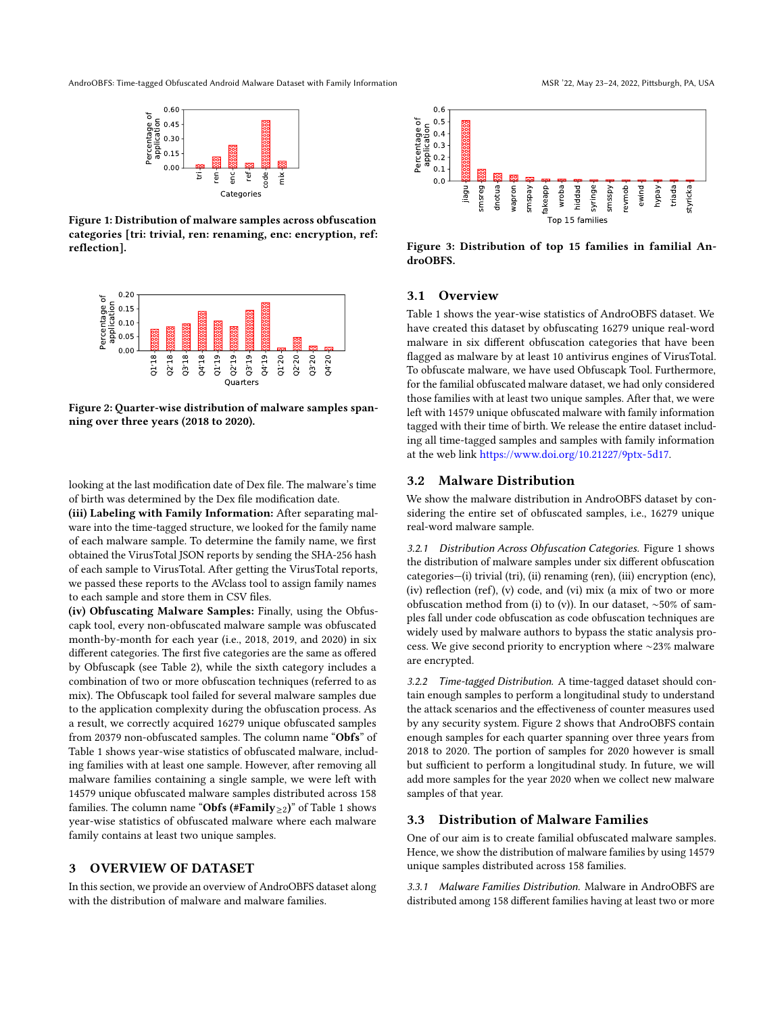<span id="page-2-0"></span>AndroOBFS: Time-tagged Obfuscated Android Malware Dataset with Family Information MSR '22, May 23-24, 2022, Pittsburgh, PA, USA



Figure 1: Distribution of malware samples across obfuscation categories [tri: trivial, ren: renaming, enc: encryption, ref: reflection].

<span id="page-2-1"></span>

Figure 2: Quarter-wise distribution of malware samples spanning over three years (2018 to 2020).

looking at the last modification date of Dex file. The malware's time of birth was determined by the Dex file modification date.

(iii) Labeling with Family Information: After separating malware into the time-tagged structure, we looked for the family name of each malware sample. To determine the family name, we first obtained the VirusTotal JSON reports by sending the SHA-256 hash of each sample to VirusTotal. After getting the VirusTotal reports, we passed these reports to the AVclass tool to assign family names to each sample and store them in CSV files.

(iv) Obfuscating Malware Samples: Finally, using the Obfuscapk tool, every non-obfuscated malware sample was obfuscated month-by-month for each year (i.e., 2018, 2019, and 2020) in six different categories. The first five categories are the same as offered by Obfuscapk (see Table [2\)](#page-1-1), while the sixth category includes a combination of two or more obfuscation techniques (referred to as mix). The Obfuscapk tool failed for several malware samples due to the application complexity during the obfuscation process. As a result, we correctly acquired 16279 unique obfuscated samples from 20379 non-obfuscated samples. The column name "Obfs" of Table [1](#page-1-0) shows year-wise statistics of obfuscated malware, including families with at least one sample. However, after removing all malware families containing a single sample, we were left with 14579 unique obfuscated malware samples distributed across 158 families. The column name "Obfs (#Family>2)" of Table [1](#page-1-0) shows year-wise statistics of obfuscated malware where each malware family contains at least two unique samples. **Figure 1. Distribution of each malware samples areas of materials.** The example is a strong of the distribution of malware and male the distribution of malware and malware is a structure of the distribution of malware is

## 3 OVERVIEW OF DATASET

In this section, we provide an overview of AndroOBFS dataset along

<span id="page-2-2"></span>

Figure 3: Distribution of top 15 families in familial AndroOBFS.

#### 3.1 Overview

Table [1](#page-1-0) shows the year-wise statistics of AndroOBFS dataset. We have created this dataset by obfuscating 16279 unique real-word malware in six different obfuscation categories that have been flagged as malware by at least 10 antivirus engines of VirusTotal. To obfuscate malware, we have used Obfuscapk Tool. Furthermore, for the familial obfuscated malware dataset, we had only considered those families with at least two unique samples. After that, we were left with 14579 unique obfuscated malware with family information tagged with their time of birth. We release the entire dataset including all time-tagged samples and samples with family information at the web link [https://www.doi.org/10.21227/9ptx-5d17.](https://www.doi.org/10.21227/9ptx-5d17)

#### 3.2 Malware Distribution

We show the malware distribution in AndroOBFS dataset by considering the entire set of obfuscated samples, i.e., 16279 unique real-word malware sample.

<span id="page-2-3"></span>3.2.1 Distribution Across Obfuscation Categories. Figure [1](#page-2-0) shows the distribution of malware samples under six different obfuscation categories—(i) trivial (tri), (ii) renaming (ren), (iii) encryption (enc), (iv) reflection (ref), (v) code, and (vi) mix (a mix of two or more obfuscation method from (i) to (v)). In our dataset, ∼50% of samples fall under code obfuscation as code obfuscation techniques are widely used by malware authors to bypass the static analysis process. We give second priority to encryption where ∼23% malware are encrypted.

<span id="page-2-4"></span>3.2.2 Time-tagged Distribution. A time-tagged dataset should contain enough samples to perform a longitudinal study to understand the attack scenarios and the effectiveness of counter measures used by any security system. Figure [2](#page-2-1) shows that AndroOBFS contain enough samples for each quarter spanning over three years from 2018 to 2020. The portion of samples for 2020 however is small but sufficient to perform a longitudinal study. In future, we will add more samples for the year 2020 when we collect new malware samples of that year.

#### 3.3 Distribution of Malware Families

One of our aim is to create familial obfuscated malware samples. Hence, we show the distribution of malware families by using 14579 unique samples distributed across 158 families.

3.3.1 Malware Families Distribution. Malware in AndroOBFS are distributed among 158 different families having at least two or more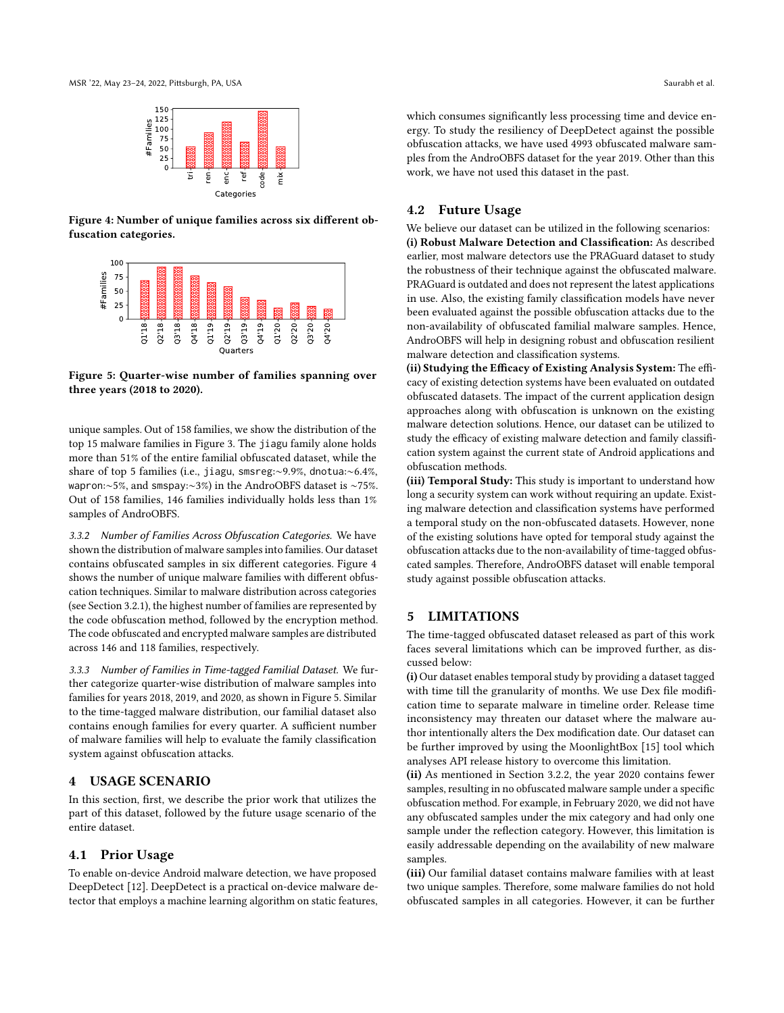<span id="page-3-0"></span>

Figure 4: Number of unique families across six different obfuscation categories.

<span id="page-3-1"></span>

Figure 5: Quarter-wise number of families spanning over three years (2018 to 2020).

unique samples. Out of 158 families, we show the distribution of the top 15 malware families in Figure [3.](#page-2-2) The jiagu family alone holds more than 51% of the entire familial obfuscated dataset, while the share of top 5 families (i.e., jiagu, smsreg:∼9.9%, dnotua:∼6.4%, wapron:∼5%, and smspay:∼3%) in the AndroOBFS dataset is ∼75%. Out of 158 families, 146 families individually holds less than 1% samples of AndroOBFS.

3.3.2 Number of Families Across Obfuscation Categories. We have shown the distribution of malware samples into families. Our dataset contains obfuscated samples in six different categories. Figure [4](#page-3-0) shows the number of unique malware families with different obfuscation techniques. Similar to malware distribution across categories (see Section [3.2.1\)](#page-2-3), the highest number of families are represented by the code obfuscation method, followed by the encryption method. The code obfuscated and encrypted malware samples are distributed across 146 and 118 families, respectively.

3.3.3 Number of Families in Time-tagged Familial Dataset. We further categorize quarter-wise distribution of malware samples into families for years 2018, 2019, and 2020, as shown in Figure [5.](#page-3-1) Similar to the time-tagged malware distribution, our familial dataset also contains enough families for every quarter. A sufficient number of malware families will help to evaluate the family classification system against obfuscation attacks.

### 4 USAGE SCENARIO

In this section, first, we describe the prior work that utilizes the part of this dataset, followed by the future usage scenario of the entire dataset.

#### 4.1 Prior Usage

To enable on-device Android malware detection, we have proposed DeepDetect [\[12\]](#page-4-20). DeepDetect is a practical on-device malware detector that employs a machine learning algorithm on static features, which consumes significantly less processing time and device energy. To study the resiliency of DeepDetect against the possible obfuscation attacks, we have used 4993 obfuscated malware samples from the AndroOBFS dataset for the year 2019. Other than this work, we have not used this dataset in the past.

# 4.2 Future Usage

We believe our dataset can be utilized in the following scenarios: (i) Robust Malware Detection and Classification: As described earlier, most malware detectors use the PRAGuard dataset to study the robustness of their technique against the obfuscated malware. PRAGuard is outdated and does not represent the latest applications in use. Also, the existing family classification models have never been evaluated against the possible obfuscation attacks due to the non-availability of obfuscated familial malware samples. Hence, AndroOBFS will help in designing robust and obfuscation resilient malware detection and classification systems.

(ii) Studying the Efficacy of Existing Analysis System: The efficacy of existing detection systems have been evaluated on outdated obfuscated datasets. The impact of the current application design approaches along with obfuscation is unknown on the existing malware detection solutions. Hence, our dataset can be utilized to study the efficacy of existing malware detection and family classification system against the current state of Android applications and obfuscation methods.

(iii) Temporal Study: This study is important to understand how long a security system can work without requiring an update. Existing malware detection and classification systems have performed a temporal study on the non-obfuscated datasets. However, none of the existing solutions have opted for temporal study against the obfuscation attacks due to the non-availability of time-tagged obfuscated samples. Therefore, AndroOBFS dataset will enable temporal study against possible obfuscation attacks.

## 5 LIMITATIONS

The time-tagged obfuscated dataset released as part of this work faces several limitations which can be improved further, as discussed below:

(i) Our dataset enables temporal study by providing a dataset tagged with time till the granularity of months. We use Dex file modification time to separate malware in timeline order. Release time inconsistency may threaten our dataset where the malware author intentionally alters the Dex modification date. Our dataset can be further improved by using the MoonlightBox [\[15\]](#page-4-25) tool which analyses API release history to overcome this limitation.

(ii) As mentioned in Section [3.2.2,](#page-2-4) the year 2020 contains fewer samples, resulting in no obfuscated malware sample under a specific obfuscation method. For example, in February 2020, we did not have any obfuscated samples under the mix category and had only one sample under the reflection category. However, this limitation is easily addressable depending on the availability of new malware samples.

(iii) Our familial dataset contains malware families with at least two unique samples. Therefore, some malware families do not hold obfuscated samples in all categories. However, it can be further